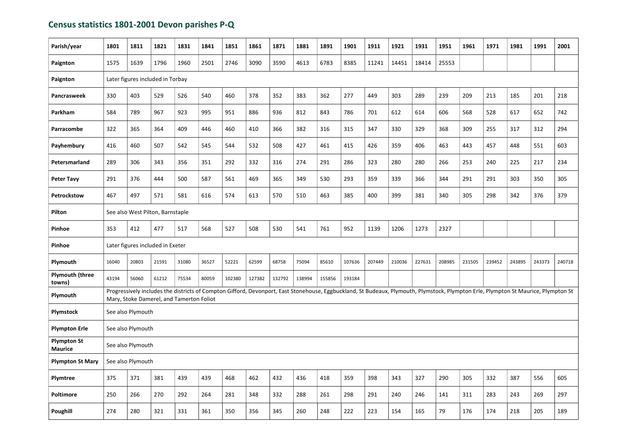## Census statistics 1801-2001 Devon parishes P-Q

| Parish/year                          | 1801                                                                                                                                                                                                                           | 1811              | 1821                             | 1831  | 1841  | 1851   | 1861   | 1871   | 1881   | 1891   | 1901   | 1911   | 1921   | 1931   | 1951   | 1961   | 1971   | 1981   | 1991   | 2001   |
|--------------------------------------|--------------------------------------------------------------------------------------------------------------------------------------------------------------------------------------------------------------------------------|-------------------|----------------------------------|-------|-------|--------|--------|--------|--------|--------|--------|--------|--------|--------|--------|--------|--------|--------|--------|--------|
| Paignton                             | 1575                                                                                                                                                                                                                           | 1639              | 1796                             | 1960  | 2501  | 2746   | 3090   | 3590   | 4613   | 6783   | 8385   | 11241  | 14451  | 18414  | 25553  |        |        |        |        |        |
| Paignton                             | Later figures included in Torbay                                                                                                                                                                                               |                   |                                  |       |       |        |        |        |        |        |        |        |        |        |        |        |        |        |        |        |
| <b>Pancrasweek</b>                   | 330                                                                                                                                                                                                                            | 403               | 529                              | 526   | 540   | 460    | 378    | 352    | 383    | 362    | 277    | 449    | 303    | 289    | 239    | 209    | 213    | 185    | 201    | 218    |
| Parkham                              | 584                                                                                                                                                                                                                            | 789               | 967                              | 923   | 995   | 951    | 886    | 936    | 812    | 843    | 786    | 701    | 612    | 614    | 606    | 568    | 528    | 617    | 652    | 742    |
| Parracombe                           | 322                                                                                                                                                                                                                            | 365               | 364                              | 409   | 446   | 460    | 410    | 366    | 382    | 316    | 315    | 347    | 330    | 329    | 368    | 309    | 255    | 317    | 312    | 294    |
| Payhembury                           | 416                                                                                                                                                                                                                            | 460               | 507                              | 542   | 545   | 544    | 532    | 508    | 427    | 461    | 415    | 426    | 359    | 406    | 463    | 443    | 457    | 448    | 551    | 603    |
| Petersmarland                        | 289                                                                                                                                                                                                                            | 306               | 343                              | 356   | 351   | 292    | 332    | 316    | 274    | 291    | 286    | 323    | 280    | 280    | 266    | 253    | 240    | 225    | 217    | 234    |
| <b>Peter Tavy</b>                    | 291                                                                                                                                                                                                                            | 376               | 444                              | 500   | 587   | 561    | 469    | 365    | 349    | 530    | 293    | 359    | 339    | 366    | 344    | 291    | 291    | 303    | 350    | 305    |
| Petrockstow                          | 467                                                                                                                                                                                                                            | 497               | 571                              | 581   | 616   | 574    | 613    | 570    | 510    | 463    | 385    | 400    | 399    | 381    | 340    | 305    | 298    | 342    | 376    | 379    |
| Pilton                               | See also West Pilton, Barnstaple                                                                                                                                                                                               |                   |                                  |       |       |        |        |        |        |        |        |        |        |        |        |        |        |        |        |        |
| Pinhoe                               | 353                                                                                                                                                                                                                            | 412               | 477                              | 517   | 568   | 527    | 508    | 530    | 541    | 761    | 952    | 1139   | 1206   | 1273   | 2327   |        |        |        |        |        |
| Pinhoe                               |                                                                                                                                                                                                                                |                   | Later figures included in Exeter |       |       |        |        |        |        |        |        |        |        |        |        |        |        |        |        |        |
| Plymouth                             | 16040                                                                                                                                                                                                                          | 20803             | 21591                            | 31080 | 36527 | 52221  | 62599  | 68758  | 75094  | 85610  | 107636 | 207449 | 210036 | 227631 | 208985 | 231505 | 239452 | 243895 | 243373 | 240718 |
| <b>Plymouth (three</b><br>towns)     | 43194                                                                                                                                                                                                                          | 56060             | 61212                            | 75534 | 80059 | 102380 | 127382 | 132792 | 138994 | 155856 | 193184 |        |        |        |        |        |        |        |        |        |
| Plymouth                             | Progressively includes the districts of Compton Gifford, Devonport, East Stonehouse, Eggbuckland, St Budeaux, Plymouth, Plymstock, Plympton Erle, Plympton St Maurice, Plympton St<br>Mary, Stoke Damerel, and Tamerton Foliot |                   |                                  |       |       |        |        |        |        |        |        |        |        |        |        |        |        |        |        |        |
| Plymstock                            |                                                                                                                                                                                                                                | See also Plymouth |                                  |       |       |        |        |        |        |        |        |        |        |        |        |        |        |        |        |        |
| <b>Plympton Erle</b>                 |                                                                                                                                                                                                                                | See also Plymouth |                                  |       |       |        |        |        |        |        |        |        |        |        |        |        |        |        |        |        |
| <b>Plympton St</b><br><b>Maurice</b> |                                                                                                                                                                                                                                | See also Plymouth |                                  |       |       |        |        |        |        |        |        |        |        |        |        |        |        |        |        |        |
| <b>Plympton St Mary</b>              |                                                                                                                                                                                                                                | See also Plymouth |                                  |       |       |        |        |        |        |        |        |        |        |        |        |        |        |        |        |        |
| Plymtree                             | 375                                                                                                                                                                                                                            | 371               | 381                              | 439   | 439   | 468    | 462    | 432    | 436    | 418    | 359    | 398    | 343    | 327    | 290    | 305    | 332    | 387    | 556    | 605    |
| <b>Poltimore</b>                     | 250                                                                                                                                                                                                                            | 266               | 270                              | 292   | 264   | 281    | 348    | 332    | 288    | 261    | 298    | 291    | 240    | 246    | 141    | 311    | 283    | 243    | 269    | 297    |
| <b>Poughill</b>                      | 274                                                                                                                                                                                                                            | 280               | 321                              | 331   | 361   | 350    | 356    | 345    | 260    | 248    | 222    | 223    | 154    | 165    | 79     | 176    | 174    | 218    | 205    | 189    |